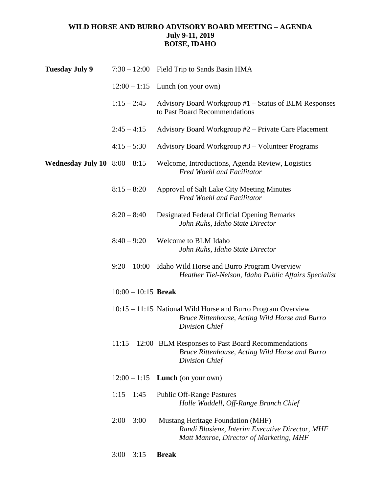## **WILD HORSE AND BURRO ADVISORY BOARD MEETING – AGENDA July 9-11, 2019 BOISE, IDAHO**

| <b>Tuesday July 9</b>                  |                       | 7:30 – 12:00 Field Trip to Sands Basin HMA                                                                                       |
|----------------------------------------|-----------------------|----------------------------------------------------------------------------------------------------------------------------------|
|                                        |                       | $12:00 - 1:15$ Lunch (on your own)                                                                                               |
|                                        | $1:15 - 2:45$         | Advisory Board Workgroup #1 – Status of BLM Responses<br>to Past Board Recommendations                                           |
|                                        | $2:45 - 4:15$         | Advisory Board Workgroup #2 - Private Care Placement                                                                             |
|                                        | $4:15 - 5:30$         | Advisory Board Workgroup #3 - Volunteer Programs                                                                                 |
| <b>Wednesday July 10</b> $8:00 - 8:15$ |                       | Welcome, Introductions, Agenda Review, Logistics<br>Fred Woehl and Facilitator                                                   |
|                                        | $8:15 - 8:20$         | Approval of Salt Lake City Meeting Minutes<br><b>Fred Woehl and Facilitator</b>                                                  |
|                                        | $8:20 - 8:40$         | Designated Federal Official Opening Remarks<br>John Ruhs, Idaho State Director                                                   |
|                                        | $8:40 - 9:20$         | Welcome to BLM Idaho<br>John Ruhs, Idaho State Director                                                                          |
|                                        | $9:20 - 10:00$        | Idaho Wild Horse and Burro Program Overview<br>Heather Tiel-Nelson, Idaho Public Affairs Specialist                              |
|                                        | $10:00 - 10:15$ Break |                                                                                                                                  |
|                                        |                       | 10:15 – 11:15 National Wild Horse and Burro Program Overview<br>Bruce Rittenhouse, Acting Wild Horse and Burro<br>Division Chief |
|                                        |                       | 11:15 - 12:00 BLM Responses to Past Board Recommendations<br>Bruce Rittenhouse, Acting Wild Horse and Burro<br>Division Chief    |
|                                        | $12:00 - 1:15$        | <b>Lunch</b> (on your own)                                                                                                       |
|                                        | $1:15 - 1:45$         | <b>Public Off-Range Pastures</b><br>Holle Waddell, Off-Range Branch Chief                                                        |
|                                        | $2:00 - 3:00$         | Mustang Heritage Foundation (MHF)<br>Randi Blasienz, Interim Executive Director, MHF<br>Matt Manroe, Director of Marketing, MHF  |

3:00 – 3:15 **Break**